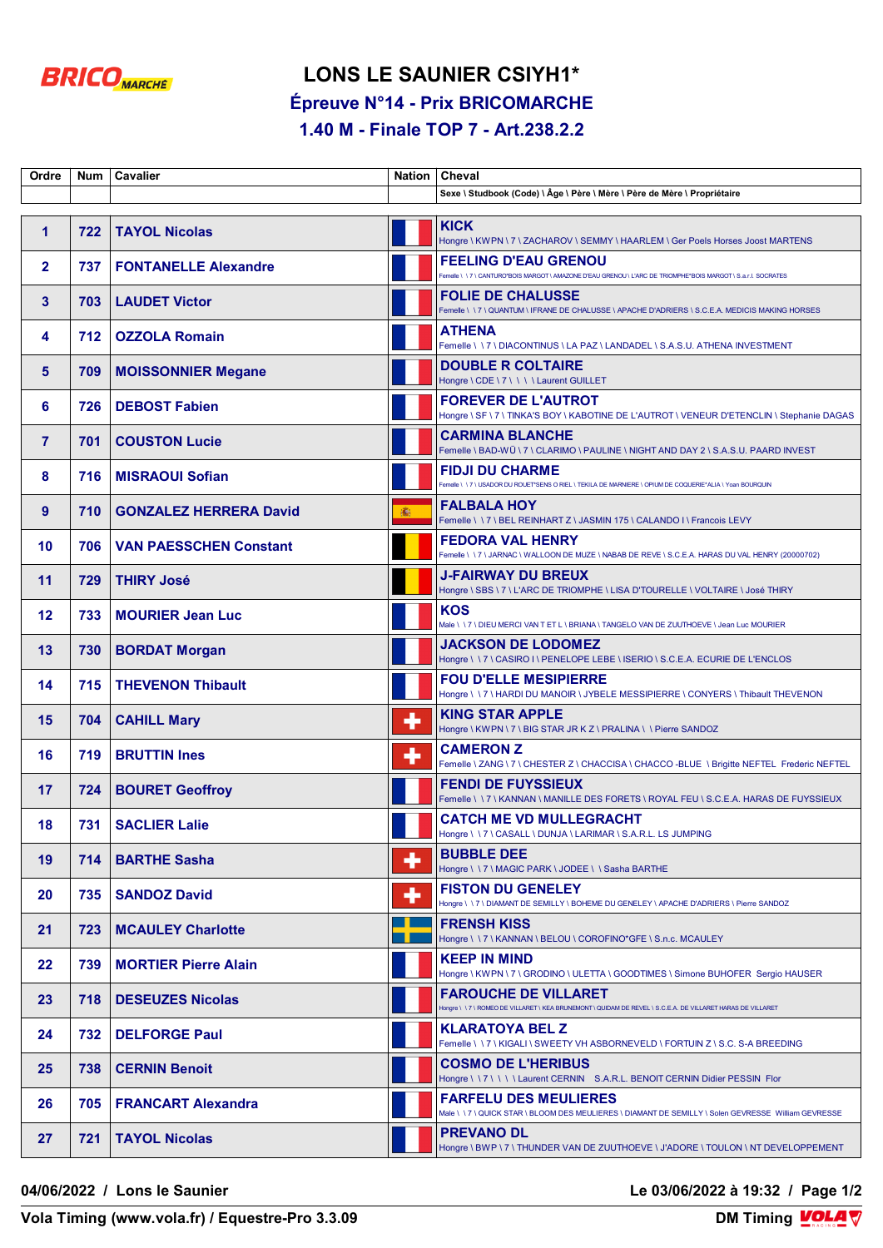

## **LONS LE SAUNIER CSIYH1\* Épreuve N°14 - Prix BRICOMARCHE**

**1.40 M - Finale TOP 7 - Art.238.2.2**

| Ordre          | Num l | <b>Cavalier</b>               |   | Nation   Cheval                                                                                                                            |
|----------------|-------|-------------------------------|---|--------------------------------------------------------------------------------------------------------------------------------------------|
|                |       |                               |   | Sexe \ Studbook (Code) \ Âge \ Père \ Mère \ Père de Mère \ Propriétaire                                                                   |
| $\mathbf 1$    | 722   | <b>TAYOL Nicolas</b>          |   | <b>KICK</b><br>Hongre \ KWPN \ 7 \ ZACHAROV \ SEMMY \ HAARLEM \ Ger Poels Horses Joost MARTENS                                             |
| $\mathbf{2}$   | 737   | <b>FONTANELLE Alexandre</b>   |   | <b>FEELING D'EAU GRENOU</b><br>Femelle \\7\CANTURO*BOIS MARGOT\AMAZONE D'EAU GRENOU\L'ARC DE TRIOMPHE*BOIS MARGOT\S.a.r.l. SOCRATES        |
| 3              | 703   | <b>LAUDET Victor</b>          |   | <b>FOLIE DE CHALUSSE</b><br>Femelle \\7\QUANTUM\IFRANE DE CHALUSSE\APACHE D'ADRIERS\S.C.E.A. MEDICIS MAKING HORSES                         |
| 4              | 712   | <b>OZZOLA Romain</b>          |   | <b>ATHENA</b><br>Femelle \\7\DIACONTINUS\LA PAZ\LANDADEL\S.A.S.U. ATHENA INVESTMENT                                                        |
| 5              | 709   | <b>MOISSONNIER Megane</b>     |   | <b>DOUBLE R COLTAIRE</b><br>Hongre \ CDE \ 7 \ \ \ \ Laurent GUILLET                                                                       |
| 6              | 726   | <b>DEBOST Fabien</b>          |   | <b>FOREVER DE L'AUTROT</b><br>Hongre \ SF \ 7 \ TINKA'S BOY \ KABOTINE DE L'AUTROT \ VENEUR D'ETENCLIN \ Stephanie DAGAS                   |
| $\overline{7}$ | 701   | <b>COUSTON Lucie</b>          |   | <b>CARMINA BLANCHE</b><br>Femelle \BAD-WÜ\7\CLARIMO\PAULINE\NIGHT AND DAY 2\S.A.S.U. PAARD INVEST                                          |
| 8              | 716   | <b>MISRAOUI Sofian</b>        |   | <b>FIDJI DU CHARME</b><br>Femelle \\7\USADOR DU ROUET*SENS O RIEL \TEKILA DE MARNIERE \ OPIUM DE COQUERIE*ALIA \ Yoan BOURQUIN             |
| 9              | 710   | <b>GONZALEZ HERRERA David</b> | 讟 | <b>FALBALA HOY</b><br>Femelle \\7\BEL REINHART Z\JASMIN 175\CALANDO I\Francois LEVY                                                        |
| 10             | 706   | <b>VAN PAESSCHEN Constant</b> |   | <b>FEDORA VAL HENRY</b><br>Femelle \ \ 7 \ JARNAC \ WALLOON DE MUZE \ NABAB DE REVE \ S.C.E.A. HARAS DU VAL HENRY (20000702)               |
| 11             | 729   | <b>THIRY José</b>             |   | <b>J-FAIRWAY DU BREUX</b><br>Hongre \ SBS \ 7 \ L'ARC DE TRIOMPHE \ LISA D'TOURELLE \ VOLTAIRE \ José THIRY                                |
| 12             | 733   | <b>MOURIER Jean Luc</b>       |   | <b>KOS</b><br>Male \ \ 7 \ DIEU MERCI VAN T ET L \ BRIANA \ TANGELO VAN DE ZUUTHOEVE \ Jean Luc MOURIER                                    |
| 13             | 730   | <b>BORDAT Morgan</b>          |   | <b>JACKSON DE LODOMEZ</b><br>Hongre \\7\CASIRO I\PENELOPE LEBE \ISERIO \ S.C.E.A. ECURIE DE L'ENCLOS                                       |
| 14             | 715   | <b>THEVENON Thibault</b>      |   | <b>FOU D'ELLE MESIPIERRE</b><br>Hongre \\7\HARDI DU MANOIR \ JYBELE MESSIPIERRE \ CONYERS \ Thibault THEVENON                              |
| 15             | 704   | <b>CAHILL Mary</b>            | ╇ | <b>KING STAR APPLE</b><br>Hongre \ KWPN \ 7 \ BIG STAR JR K Z \ PRALINA \ \ Pierre SANDOZ                                                  |
| 16             | 719   | <b>BRUTTIN Ines</b>           | ٠ | <b>CAMERON Z</b><br>Femelle \ ZANG \ 7 \ CHESTER Z \ CHACCISA \ CHACCO -BLUE \ Brigitte NEFTEL Frederic NEFTEL                             |
| 17             | 724   | <b>BOURET Geoffroy</b>        |   | <b>FENDI DE FUYSSIEUX</b><br>Femelle \\7\KANNAN\MANILLE DES FORETS\ROYAL FEU\S.C.E.A. HARAS DE FUYSSIEUX                                   |
| 18             | 731   | <b>SACLIER Lalie</b>          |   | <b>CATCH ME VD MULLEGRACHT</b><br>Hongre \\7\CASALL\DUNJA\LARIMAR\S.A.R.L. LS JUMPING                                                      |
| 19             | 714   | <b>BARTHE Sasha</b>           | ╋ | <b>BUBBLE DEE</b><br>Hongre \\7\MAGIC PARK\JODEE\\Sasha BARTHE                                                                             |
| 20             | 735   | <b>SANDOZ David</b>           | ٠ | <b>FISTON DU GENELEY</b><br>Hongre \\7\DIAMANT DE SEMILLY\BOHEME DU GENELEY\APACHE D'ADRIERS\Pierre SANDOZ                                 |
| 21             | 723   | <b>MCAULEY Charlotte</b>      |   | <b>FRENSH KISS</b><br>Hongre \\7\KANNAN\BELOU\COROFINO*GFE\S.n.c. MCAULEY                                                                  |
| $22 \,$        | 739   | <b>MORTIER Pierre Alain</b>   |   | <b>KEEP IN MIND</b><br>Hongre \ KWPN \ 7 \ GRODINO \ ULETTA \ GOODTIMES \ Simone BUHOFER Sergio HAUSER                                     |
| 23             | 718   | <b>DESEUZES Nicolas</b>       |   | <b>FAROUCHE DE VILLARET</b><br>Hongre \ \ 7 \ ROMEO DE VILLARET \ KEA BRUNEMONT \ QUIDAM DE REVEL \ S.C.E.A. DE VILLARET HARAS DE VILLARET |
| 24             | 732   | <b>DELFORGE Paul</b>          |   | KLARATOYA BEL Z<br>Femelle \\7\KIGALI\SWEETYVH ASBORNEVELD\FORTUIN Z\S.C. S-A BREEDING                                                     |
| 25             | 738   | <b>CERNIN Benoit</b>          |   | <b>COSMO DE L'HERIBUS</b><br>Hongre \\7\\\\Laurent CERNIN S.A.R.L. BENOIT CERNIN Didier PESSIN Flor                                        |
| 26             | 705   | <b>FRANCART Alexandra</b>     |   | <b>FARFELU DES MEULIERES</b><br>Male \ \ 7 \ QUICK STAR \ BLOOM DES MEULIERES \ DIAMANT DE SEMILLY \ Solen GEVRESSE William GEVRESSE       |
| 27             | 721   | <b>TAYOL Nicolas</b>          |   | <b>PREVANO DL</b><br>Hongre \ BWP \ 7 \ THUNDER VAN DE ZUUTHOEVE \ J'ADORE \ TOULON \ NT DEVELOPPEMENT                                     |

**04/06/2022 / Lons le Saunier Le 03/06/2022 à 19:32 / Page 1/2**

**Vola Timing (www.vola.fr) / Equestre-Pro 3.3.09**